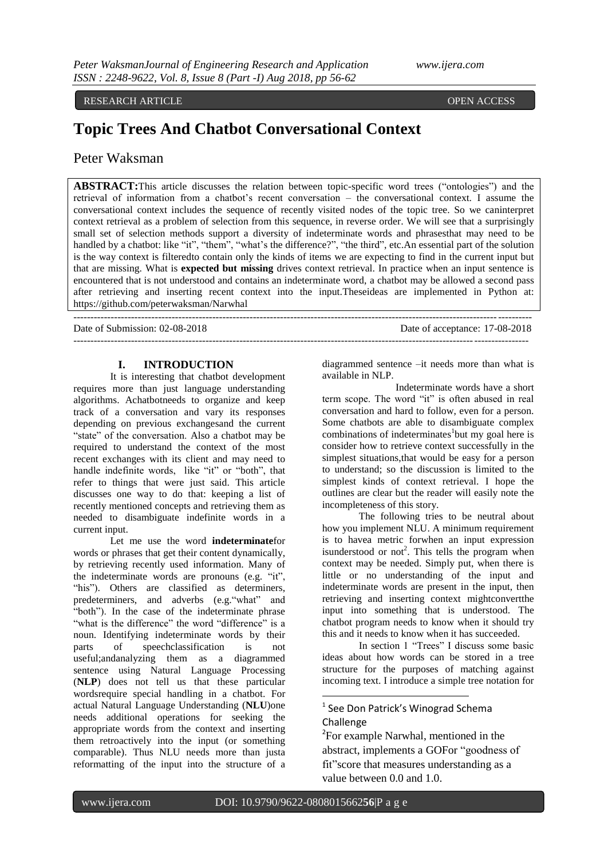#### RESEARCH ARTICLE OPEN ACCESS

# **Topic Trees And Chatbot Conversational Context**

# Peter Waksman

**ABSTRACT:**This article discusses the relation between topic-specific word trees ("ontologies") and the retrieval of information from a chatbot"s recent conversation – the conversational context. I assume the conversational context includes the sequence of recently visited nodes of the topic tree. So we caninterpret context retrieval as a problem of selection from this sequence, in reverse order. We will see that a surprisingly small set of selection methods support a diversity of indeterminate words and phrasesthat may need to be handled by a chatbot: like "it", "them", "what's the difference?", "the third", etc.An essential part of the solution is the way context is filteredto contain only the kinds of items we are expecting to find in the current input but that are missing. What is **expected but missing** drives context retrieval. In practice when an input sentence is encountered that is not understood and contains an indeterminate word, a chatbot may be allowed a second pass after retrieving and inserting recent context into the input.Theseideas are implemented in Python at: <https://github.com/peterwaksman/Narwhal>

---------------------------------------------------------------------------------------------------------------------------------------

--------------------------------------------------------------------------------------------------------------------------------------

Date of Submission: 02-08-2018 Date of acceptance: 17-08-2018

# **I. INTRODUCTION**

It is interesting that chatbot development requires more than just language understanding algorithms. Achatbotneeds to organize and keep track of a conversation and vary its responses depending on previous exchangesand the current "state" of the conversation. Also a chatbot may be required to understand the context of the most recent exchanges with its client and may need to handle indefinite words, like "it" or "both", that refer to things that were just said. This article discusses one way to do that: keeping a list of recently mentioned concepts and retrieving them as needed to disambiguate indefinite words in a current input.

Let me use the word **indeterminate**for words or phrases that get their content dynamically, by retrieving recently used information. Many of the indeterminate words are pronouns (e.g. "it", "his"). Others are classified as determiners, predeterminers, and adverbs (e.g."what" and "both"). In the case of the indeterminate phrase "what is the difference" the word "difference" is a noun. Identifying indeterminate words by their parts of speechclassification is not useful;andanalyzing them as a diagrammed sentence using Natural Language Processing (**NLP**) does not tell us that these particular wordsrequire special handling in a chatbot. For actual Natural Language Understanding (**NLU**)one needs additional operations for seeking the appropriate words from the context and inserting them retroactively into the input (or something comparable). Thus NLU needs more than justa reformatting of the input into the structure of a

diagrammed sentence –it needs more than what is available in NLP.

Indeterminate words have a short term scope. The word "it" is often abused in real conversation and hard to follow, even for a person. Some chatbots are able to disambiguate complex combinations of indeterminates<sup>1</sup>but my goal here is consider how to retrieve context successfully in the simplest situations,that would be easy for a person to understand; so the discussion is limited to the simplest kinds of context retrieval. I hope the outlines are clear but the reader will easily note the incompleteness of this story.

The following tries to be neutral about how you implement NLU. A minimum requirement is to havea metric forwhen an input expression isunderstood or not<sup>2</sup>. This tells the program when context may be needed. Simply put, when there is little or no understanding of the input and indeterminate words are present in the input, then retrieving and inserting context mightconvertthe input into something that is understood. The chatbot program needs to know when it should try this and it needs to know when it has succeeded.

In section 1 "Trees" I discuss some basic ideas about how words can be stored in a tree structure for the purposes of matching against incoming text. I introduce a simple tree notation for

# <sup>1</sup> See Don Patrick's Winograd Schema **Challenge**

<sup>2</sup>For example Narwhal, mentioned in the abstract, implements a GOFor "goodness of fit"score that measures understanding as a value between 0.0 and 1.0.

1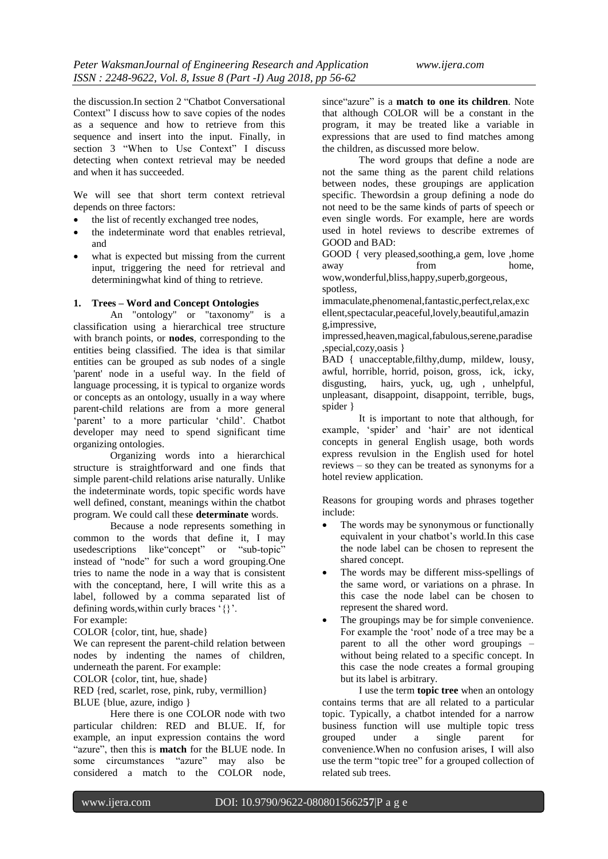the discussion.In section 2 "Chatbot Conversational Context" I discuss how to save copies of the nodes as a sequence and how to retrieve from this sequence and insert into the input. Finally, in section 3 "When to Use Context" I discuss detecting when context retrieval may be needed and when it has succeeded.

We will see that short term context retrieval depends on three factors:

- the list of recently exchanged tree nodes,
- the indeterminate word that enables retrieval, and
- what is expected but missing from the current input, triggering the need for retrieval and determiningwhat kind of thing to retrieve.

### **1. Trees – Word and Concept Ontologies**

An "ontology" or "taxonomy" is a classification using a hierarchical tree structure with branch points, or **nodes**, corresponding to the entities being classified. The idea is that similar entities can be grouped as sub nodes of a single 'parent' node in a useful way. In the field of language processing, it is typical to organize words or concepts as an ontology, usually in a way where parent-child relations are from a more general 'parent' to a more particular 'child'. Chatbot developer may need to spend significant time organizing ontologies.

Organizing words into a hierarchical structure is straightforward and one finds that simple parent-child relations arise naturally. Unlike the indeterminate words, topic specific words have well defined, constant, meanings within the chatbot program. We could call these **determinate** words.

Because a node represents something in common to the words that define it, I may usedescriptions like"concept" or "sub-topic" instead of "node" for such a word grouping.One tries to name the node in a way that is consistent with the conceptand, here, I will write this as a label, followed by a comma separated list of defining words, within curly braces '{}'. For example:

COLOR {color, tint, hue, shade}

We can represent the parent-child relation between nodes by indenting the names of children, underneath the parent. For example:

COLOR {color, tint, hue, shade}

RED {red, scarlet, rose, pink, ruby, vermillion} BLUE {blue, azure, indigo }

Here there is one COLOR node with two particular children: RED and BLUE. If, for example, an input expression contains the word "azure", then this is **match** for the BLUE node. In some circumstances "azure" may also be considered a match to the COLOR node, since"azure" is a **match to one its children**. Note that although COLOR will be a constant in the program, it may be treated like a variable in expressions that are used to find matches among the children, as discussed more below.

The word groups that define a node are not the same thing as the parent child relations between nodes, these groupings are application specific. Thewordsin a group defining a node do not need to be the same kinds of parts of speech or even single words. For example, here are words used in hotel reviews to describe extremes of GOOD and BAD:

GOOD { very pleased,soothing,a gem, love ,home away from home.

wow,wonderful,bliss,happy,superb,gorgeous, spotless,

immaculate,phenomenal,fantastic,perfect,relax,exc ellent,spectacular,peaceful,lovely,beautiful,amazin g,impressive,

impressed,heaven,magical,fabulous,serene,paradise ,special,cozy,oasis }

BAD { unacceptable,filthy,dump, mildew, lousy, awful, horrible, horrid, poison, gross, ick, icky, disgusting, hairs, yuck, ug, ugh , unhelpful, unpleasant, disappoint, disappoint, terrible, bugs, spider }

It is important to note that although, for example, 'spider' and 'hair' are not identical concepts in general English usage, both words express revulsion in the English used for hotel reviews – so they can be treated as synonyms for a hotel review application.

Reasons for grouping words and phrases together include:

- The words may be synonymous or functionally equivalent in your chatbot"s world.In this case the node label can be chosen to represent the shared concept.
- The words may be different miss-spellings of the same word, or variations on a phrase. In this case the node label can be chosen to represent the shared word.
- The groupings may be for simple convenience. For example the 'root' node of a tree may be a parent to all the other word groupings – without being related to a specific concept. In this case the node creates a formal grouping but its label is arbitrary.

I use the term **topic tree** when an ontology contains terms that are all related to a particular topic. Typically, a chatbot intended for a narrow business function will use multiple topic tress grouped under a single parent for convenience.When no confusion arises, I will also use the term "topic tree" for a grouped collection of related sub trees.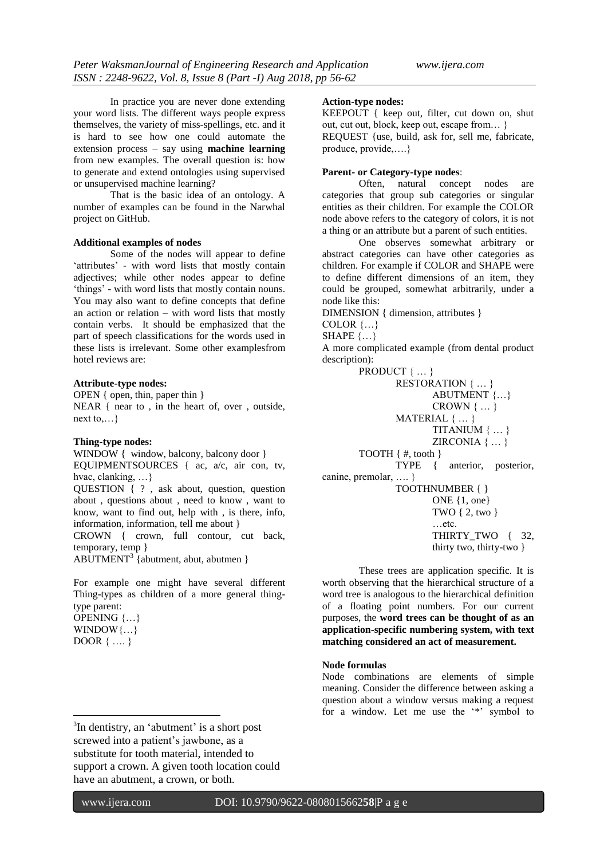In practice you are never done extending your word lists. The different ways people express themselves, the variety of miss-spellings, etc. and it is hard to see how one could automate the extension process – say using **machine learning** from new examples. The overall question is: how to generate and extend ontologies using supervised or unsupervised machine learning?

That is the basic idea of an ontology. A number of examples can be found in the Narwhal project on GitHub.

#### **Additional examples of nodes**

Some of the nodes will appear to define 'attributes' - with word lists that mostly contain adjectives; while other nodes appear to define "things" - with word lists that mostly contain nouns. You may also want to define concepts that define an action or relation – with word lists that mostly contain verbs. It should be emphasized that the part of speech classifications for the words used in these lists is irrelevant. Some other examplesfrom hotel reviews are:

#### **Attribute-type nodes:**

OPEN { open, thin, paper thin } NEAR { near to , in the heart of, over , outside, next to,…}

#### **Thing-type nodes:**

WINDOW { window, balcony, balcony door } EQUIPMENTSOURCES { ac, a/c, air con, tv, hvac, clanking, …} QUESTION { ? , ask about, question, question about , questions about , need to know , want to know, want to find out, help with , is there, info, information, information, tell me about }

CROWN { crown, full contour, cut back, temporary, temp }

 $ABUTIMENT<sup>3</sup>$  {abutment, abut, abutmen }

For example one might have several different Thing-types as children of a more general thingtype parent:

OPENING {…} WINDOW $\{...\}$ DOOR { …. }

**.** 

#### **Action-type nodes:**

KEEPOUT { keep out, filter, cut down on, shut out, cut out, block, keep out, escape from… } REQUEST {use, build, ask for, sell me, fabricate, produce, provide,….}

#### **Parent- or Category-type nodes**:

Often, natural concept nodes are categories that group sub categories or singular entities as their children. For example the COLOR node above refers to the category of colors, it is not a thing or an attribute but a parent of such entities.

One observes somewhat arbitrary or abstract categories can have other categories as children. For example if COLOR and SHAPE were to define different dimensions of an item, they could be grouped, somewhat arbitrarily, under a node like this:

DIMENSION { dimension, attributes }

COLOR {…}

SHAPE  $\{...\}$ 

A more complicated example (from dental product description):

PRODUCT { ... } RESTORATION { … } ABUTMENT {…} CROWN { … } MATERIAL { … } TITANIUM { … } ZIRCONIA { … } TOOTH { #, tooth } TYPE { anterior, posterior, canine, premolar, …. } TOOTHNUMBER { } ONE {1, one} TWO { 2, two } …etc. THIRTY TWO { 32, thirty two, thirty-two }

These trees are application specific. It is worth observing that the hierarchical structure of a word tree is analogous to the hierarchical definition of a floating point numbers. For our current purposes, the **word trees can be thought of as an application-specific numbering system, with text matching considered an act of measurement.**

#### **Node formulas**

Node combinations are elements of simple meaning. Consider the difference between asking a question about a window versus making a request for a window. Let me use the '\*' symbol to

<sup>&</sup>lt;sup>3</sup>In dentistry, an 'abutment' is a short post screwed into a patient's jawbone, as a substitute for tooth material, intended to support a crown. A given tooth location could have an abutment, a crown, or both.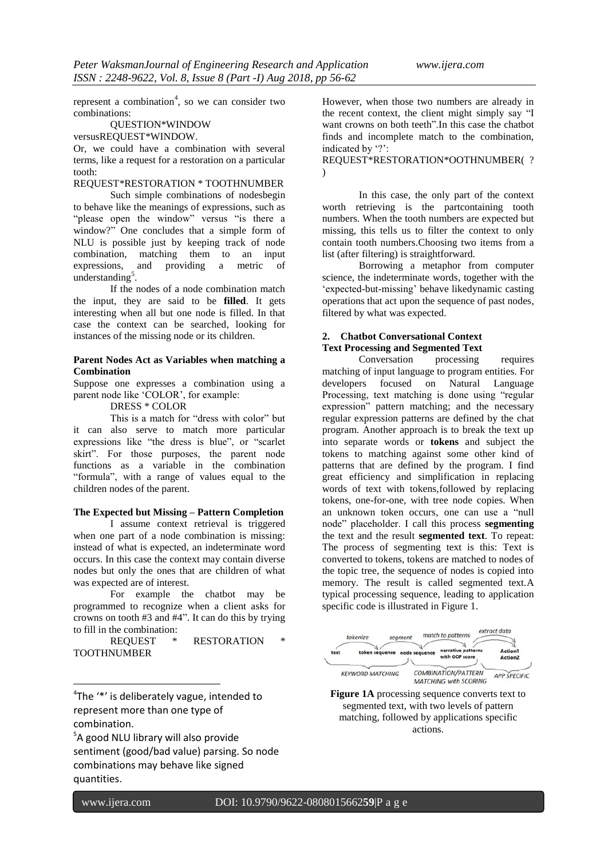represent a combination<sup>4</sup>, so we can consider two combinations:

## QUESTION\*WINDOW

#### versusREQUEST\*WINDOW.

Or, we could have a combination with several terms, like a request for a restoration on a particular tooth:

# REQUEST\*RESTORATION \* TOOTHNUMBER

Such simple combinations of nodesbegin to behave like the meanings of expressions, such as "please open the window" versus "is there a window?" One concludes that a simple form of NLU is possible just by keeping track of node combination, matching them to an input expressions, and providing a metric of understanding<sup>5</sup>.

If the nodes of a node combination match the input, they are said to be **filled**. It gets interesting when all but one node is filled. In that case the context can be searched, looking for instances of the missing node or its children.

#### **Parent Nodes Act as Variables when matching a Combination**

Suppose one expresses a combination using a parent node like "COLOR", for example:

DRESS \* COLOR

This is a match for "dress with color" but it can also serve to match more particular expressions like "the dress is blue", or "scarlet skirt". For those purposes, the parent node functions as a variable in the combination "formula", with a range of values equal to the children nodes of the parent.

#### **The Expected but Missing – Pattern Completion**

I assume context retrieval is triggered when one part of a node combination is missing: instead of what is expected, an indeterminate word occurs. In this case the context may contain diverse nodes but only the ones that are children of what was expected are of interest.

For example the chatbot may be programmed to recognize when a client asks for crowns on tooth #3 and #4". It can do this by trying to fill in the combination:

REQUEST \* RESTORATION TOOTHNUMBER

<sup>4</sup>The '\*' is deliberately vague, intended to represent more than one type of combination.

5 A good NLU library will also provide sentiment (good/bad value) parsing. So node combinations may behave like signed quantities.

However, when those two numbers are already in the recent context, the client might simply say "I want crowns on both teeth".In this case the chatbot finds and incomplete match to the combination, indicated by '?':

REQUEST\*RESTORATION\*OOTHNUMBER( ? )

In this case, the only part of the context worth retrieving is the partcontaining tooth numbers. When the tooth numbers are expected but missing, this tells us to filter the context to only contain tooth numbers.Choosing two items from a list (after filtering) is straightforward.

Borrowing a metaphor from computer science, the indeterminate words, together with the "expected-but-missing" behave likedynamic casting operations that act upon the sequence of past nodes, filtered by what was expected.

## **2. Chatbot Conversational Context Text Processing and Segmented Text**

Conversation processing requires matching of input language to program entities. For developers focused on Natural Language Processing, text matching is done using "regular expression" pattern matching; and the necessary regular expression patterns are defined by the chat program. Another approach is to break the text up into separate words or **tokens** and subject the tokens to matching against some other kind of patterns that are defined by the program. I find great efficiency and simplification in replacing words of text with tokens,followed by replacing tokens, one-for-one, with tree node copies. When an unknown token occurs, one can use a "null node" placeholder. I call this process **segmenting**  the text and the result **segmented text**. To repeat: The process of segmenting text is this: Text is converted to tokens, tokens are matched to nodes of the topic tree, the sequence of nodes is copied into memory. The result is called segmented text.A typical processing sequence, leading to application specific code is illustrated in Figure 1.



**Figure 1A** processing sequence converts text to segmented text, with two levels of pattern matching, followed by applications specific actions.

**.**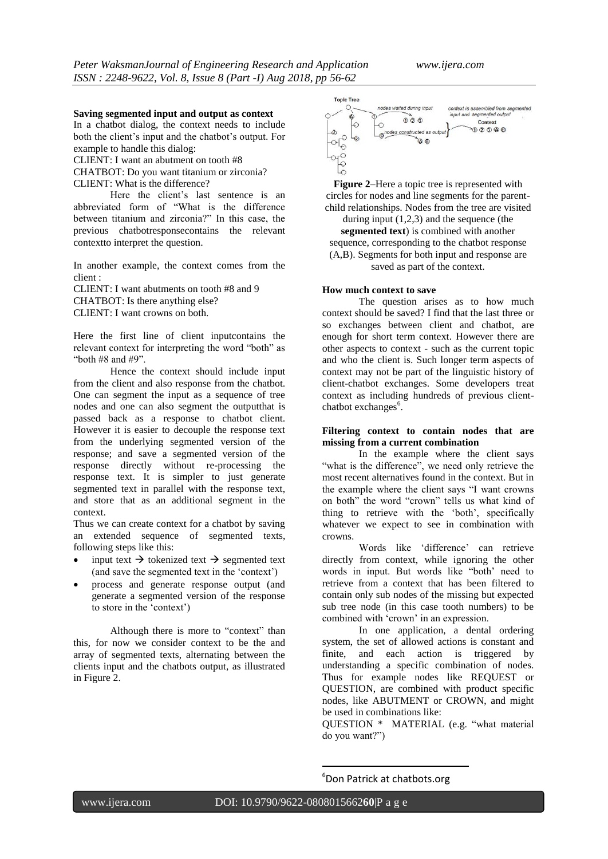#### **Saving segmented input and output as context**

In a chatbot dialog, the context needs to include both the client"s input and the chatbot"s output. For example to handle this dialog:

CLIENT: I want an abutment on tooth #8

CHATBOT: Do you want titanium or zirconia? CLIENT: What is the difference?

Here the client"s last sentence is an abbreviated form of "What is the difference between titanium and zirconia?" In this case, the previous chatbotresponsecontains the relevant contextto interpret the question.

In another example, the context comes from the client :

CLIENT: I want abutments on tooth #8 and 9 CHATBOT: Is there anything else? CLIENT: I want crowns on both.

Here the first line of client inputcontains the relevant context for interpreting the word "both" as "both #8 and #9".

Hence the context should include input from the client and also response from the chatbot. One can segment the input as a sequence of tree nodes and one can also segment the outputthat is passed back as a response to chatbot client. However it is easier to decouple the response text from the underlying segmented version of the response; and save a segmented version of the response directly without re-processing the response text. It is simpler to just generate segmented text in parallel with the response text, and store that as an additional segment in the context.

Thus we can create context for a chatbot by saving an extended sequence of segmented texts, following steps like this:

- input text  $\rightarrow$  tokenized text  $\rightarrow$  segmented text (and save the segmented text in the "context")
- process and generate response output (and generate a segmented version of the response to store in the "context")

Although there is more to "context" than this, for now we consider context to be the and array of segmented texts, alternating between the clients input and the chatbots output, as illustrated in Figure 2.



**Figure 2**–Here a topic tree is represented with circles for nodes and line segments for the parentchild relationships. Nodes from the tree are visited during input (1,2,3) and the sequence (the

**segmented text**) is combined with another sequence, corresponding to the chatbot response (A,B). Segments for both input and response are saved as part of the context.

#### **How much context to save**

The question arises as to how much context should be saved? I find that the last three or so exchanges between client and chatbot, are enough for short term context. However there are other aspects to context - such as the current topic and who the client is. Such longer term aspects of context may not be part of the linguistic history of client-chatbot exchanges. Some developers treat context as including hundreds of previous clientchatbot exchanges<sup>6</sup>.

# **Filtering context to contain nodes that are missing from a current combination**

In the example where the client says "what is the difference", we need only retrieve the most recent alternatives found in the context. But in the example where the client says "I want crowns on both" the word "crown" tells us what kind of thing to retrieve with the "both", specifically whatever we expect to see in combination with crowns.

Words like "difference" can retrieve directly from context, while ignoring the other words in input. But words like "both" need to retrieve from a context that has been filtered to contain only sub nodes of the missing but expected sub tree node (in this case tooth numbers) to be combined with 'crown' in an expression.

In one application, a dental ordering system, the set of allowed actions is constant and finite, and each action is triggered by understanding a specific combination of nodes. Thus for example nodes like REQUEST or QUESTION, are combined with product specific nodes, like ABUTMENT or CROWN, and might be used in combinations like:

QUESTION \* MATERIAL (e.g. "what material do you want?")

<sup>6</sup>Don Patrick at chatbots.org

**.**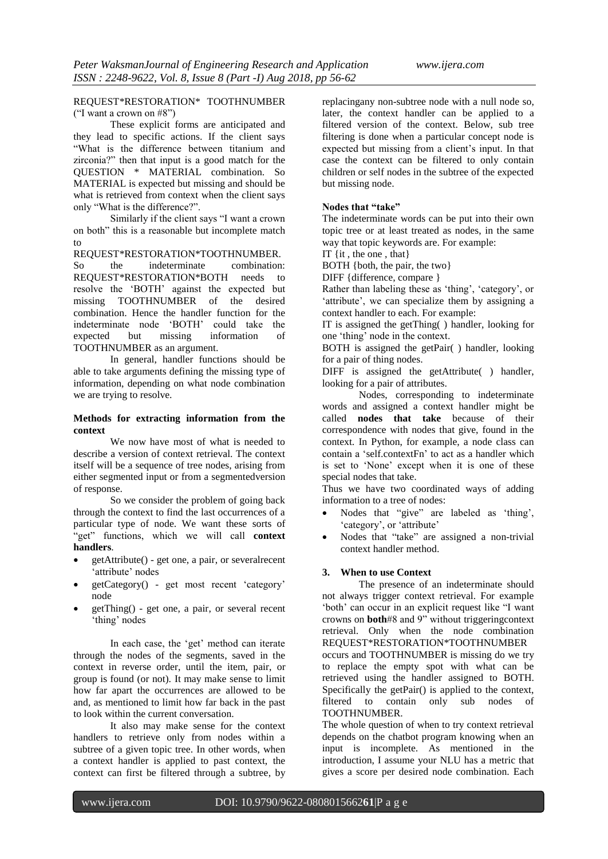REQUEST\*RESTORATION\* TOOTHNUMBER ("I want a crown on #8")

These explicit forms are anticipated and they lead to specific actions. If the client says "What is the difference between titanium and zirconia?" then that input is a good match for the QUESTION \* MATERIAL combination. So MATERIAL is expected but missing and should be what is retrieved from context when the client says only "What is the difference?".

Similarly if the client says "I want a crown on both" this is a reasonable but incomplete match to

REQUEST\*RESTORATION\*TOOTHNUMBER.

So the indeterminate combination: REQUEST\*RESTORATION\*BOTH needs to resolve the "BOTH" against the expected but missing TOOTHNUMBER of the desired combination. Hence the handler function for the indeterminate node "BOTH" could take the expected but missing information of TOOTHNUMBER as an argument.

In general, handler functions should be able to take arguments defining the missing type of information, depending on what node combination we are trying to resolve.

#### **Methods for extracting information from the context**

We now have most of what is needed to describe a version of context retrieval. The context itself will be a sequence of tree nodes, arising from either segmented input or from a segmentedversion of response.

So we consider the problem of going back through the context to find the last occurrences of a particular type of node. We want these sorts of "get" functions, which we will call **context handlers**.

- getAttribute() get one, a pair, or severalrecent 'attribute' nodes
- getCategory() get most recent "category" node
- getThing() get one, a pair, or several recent 'thing' nodes

In each case, the 'get' method can iterate through the nodes of the segments, saved in the context in reverse order, until the item, pair, or group is found (or not). It may make sense to limit how far apart the occurrences are allowed to be and, as mentioned to limit how far back in the past to look within the current conversation.

It also may make sense for the context handlers to retrieve only from nodes within a subtree of a given topic tree. In other words, when a context handler is applied to past context, the context can first be filtered through a subtree, by

replacingany non-subtree node with a null node so, later, the context handler can be applied to a filtered version of the context. Below, sub tree filtering is done when a particular concept node is expected but missing from a client"s input. In that case the context can be filtered to only contain children or self nodes in the subtree of the expected but missing node.

#### **Nodes that "take"**

The indeterminate words can be put into their own topic tree or at least treated as nodes, in the same way that topic keywords are. For example:

IT {it , the one , that}

BOTH {both, the pair, the two}

DIFF {difference, compare }

Rather than labeling these as 'thing', 'category', or 'attribute', we can specialize them by assigning a context handler to each. For example:

IT is assigned the getThing( ) handler, looking for one "thing" node in the context.

BOTH is assigned the getPair( ) handler, looking for a pair of thing nodes.

DIFF is assigned the getAttribute( ) handler, looking for a pair of attributes.

Nodes, corresponding to indeterminate words and assigned a context handler might be called **nodes that take** because of their correspondence with nodes that give, found in the context. In Python, for example, a node class can contain a "self.contextFn" to act as a handler which is set to "None" except when it is one of these special nodes that take.

Thus we have two coordinated ways of adding information to a tree of nodes:

- Nodes that "give" are labeled as "thing", 'category', or 'attribute'
- Nodes that "take" are assigned a non-trivial context handler method.

#### **3. When to use Context**

The presence of an indeterminate should not always trigger context retrieval. For example "both" can occur in an explicit request like "I want crowns on **both**#8 and 9" without triggeringcontext retrieval. Only when the node combination REQUEST\*RESTORATION\*TOOTHNUMBER occurs and TOOTHNUMBER is missing do we try to replace the empty spot with what can be retrieved using the handler assigned to BOTH. Specifically the getPair() is applied to the context, filtered to contain only sub nodes of TOOTHNUMBER.

The whole question of when to try context retrieval depends on the chatbot program knowing when an input is incomplete. As mentioned in the introduction, I assume your NLU has a metric that gives a score per desired node combination. Each